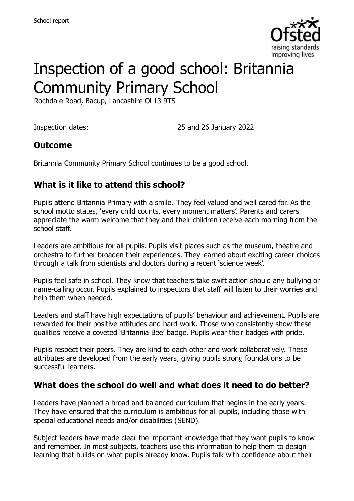

# Inspection of a good school: Britannia Community Primary School

Rochdale Road, Bacup, Lancashire OL13 9TS

Inspection dates: 25 and 26 January 2022

#### **Outcome**

Britannia Community Primary School continues to be a good school.

#### **What is it like to attend this school?**

Pupils attend Britannia Primary with a smile. They feel valued and well cared for. As the school motto states, 'every child counts, every moment matters'. Parents and carers appreciate the warm welcome that they and their children receive each morning from the school staff.

Leaders are ambitious for all pupils. Pupils visit places such as the museum, theatre and orchestra to further broaden their experiences. They learned about exciting career choices through a talk from scientists and doctors during a recent 'science week'.

Pupils feel safe in school. They know that teachers take swift action should any bullying or name-calling occur. Pupils explained to inspectors that staff will listen to their worries and help them when needed.

Leaders and staff have high expectations of pupils' behaviour and achievement. Pupils are rewarded for their positive attitudes and hard work. Those who consistently show these qualities receive a coveted 'Britannia Bee' badge. Pupils wear their badges with pride.

Pupils respect their peers. They are kind to each other and work collaboratively. These attributes are developed from the early years, giving pupils strong foundations to be successful learners.

#### **What does the school do well and what does it need to do better?**

Leaders have planned a broad and balanced curriculum that begins in the early years. They have ensured that the curriculum is ambitious for all pupils, including those with special educational needs and/or disabilities (SEND).

Subject leaders have made clear the important knowledge that they want pupils to know and remember. In most subjects, teachers use this information to help them to design learning that builds on what pupils already know. Pupils talk with confidence about their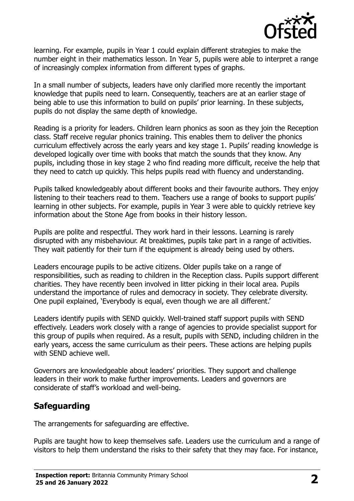

learning. For example, pupils in Year 1 could explain different strategies to make the number eight in their mathematics lesson. In Year 5, pupils were able to interpret a range of increasingly complex information from different types of graphs.

In a small number of subjects, leaders have only clarified more recently the important knowledge that pupils need to learn. Consequently, teachers are at an earlier stage of being able to use this information to build on pupils' prior learning. In these subjects, pupils do not display the same depth of knowledge.

Reading is a priority for leaders. Children learn phonics as soon as they join the Reception class. Staff receive regular phonics training. This enables them to deliver the phonics curriculum effectively across the early years and key stage 1. Pupils' reading knowledge is developed logically over time with books that match the sounds that they know. Any pupils, including those in key stage 2 who find reading more difficult, receive the help that they need to catch up quickly. This helps pupils read with fluency and understanding.

Pupils talked knowledgeably about different books and their favourite authors. They enjoy listening to their teachers read to them. Teachers use a range of books to support pupils' learning in other subjects. For example, pupils in Year 3 were able to quickly retrieve key information about the Stone Age from books in their history lesson.

Pupils are polite and respectful. They work hard in their lessons. Learning is rarely disrupted with any misbehaviour. At breaktimes, pupils take part in a range of activities. They wait patiently for their turn if the equipment is already being used by others.

Leaders encourage pupils to be active citizens. Older pupils take on a range of responsibilities, such as reading to children in the Reception class. Pupils support different charities. They have recently been involved in litter picking in their local area. Pupils understand the importance of rules and democracy in society. They celebrate diversity. One pupil explained, 'Everybody is equal, even though we are all different.'

Leaders identify pupils with SEND quickly. Well-trained staff support pupils with SEND effectively. Leaders work closely with a range of agencies to provide specialist support for this group of pupils when required. As a result, pupils with SEND, including children in the early years, access the same curriculum as their peers. These actions are helping pupils with SEND achieve well.

Governors are knowledgeable about leaders' priorities. They support and challenge leaders in their work to make further improvements. Leaders and governors are considerate of staff's workload and well-being.

# **Safeguarding**

The arrangements for safeguarding are effective.

Pupils are taught how to keep themselves safe. Leaders use the curriculum and a range of visitors to help them understand the risks to their safety that they may face. For instance,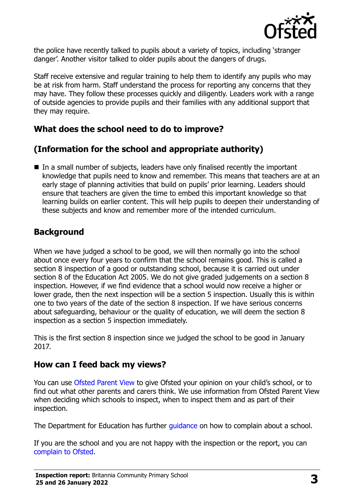

the police have recently talked to pupils about a variety of topics, including 'stranger danger'. Another visitor talked to older pupils about the dangers of drugs.

Staff receive extensive and regular training to help them to identify any pupils who may be at risk from harm. Staff understand the process for reporting any concerns that they may have. They follow these processes quickly and diligently. Leaders work with a range of outside agencies to provide pupils and their families with any additional support that they may require.

# **What does the school need to do to improve?**

# **(Information for the school and appropriate authority)**

In a small number of subjects, leaders have only finalised recently the important knowledge that pupils need to know and remember. This means that teachers are at an early stage of planning activities that build on pupils' prior learning. Leaders should ensure that teachers are given the time to embed this important knowledge so that learning builds on earlier content. This will help pupils to deepen their understanding of these subjects and know and remember more of the intended curriculum.

# **Background**

When we have judged a school to be good, we will then normally go into the school about once every four years to confirm that the school remains good. This is called a section 8 inspection of a good or outstanding school, because it is carried out under section 8 of the Education Act 2005. We do not give graded judgements on a section 8 inspection. However, if we find evidence that a school would now receive a higher or lower grade, then the next inspection will be a section 5 inspection. Usually this is within one to two years of the date of the section 8 inspection. If we have serious concerns about safeguarding, behaviour or the quality of education, we will deem the section 8 inspection as a section 5 inspection immediately.

This is the first section 8 inspection since we judged the school to be good in January 2017.

# **How can I feed back my views?**

You can use [Ofsted Parent View](https://parentview.ofsted.gov.uk/) to give Ofsted your opinion on your child's school, or to find out what other parents and carers think. We use information from Ofsted Parent View when deciding which schools to inspect, when to inspect them and as part of their inspection.

The Department for Education has further quidance on how to complain about a school.

If you are the school and you are not happy with the inspection or the report, you can [complain to Ofsted.](https://www.gov.uk/complain-ofsted-report)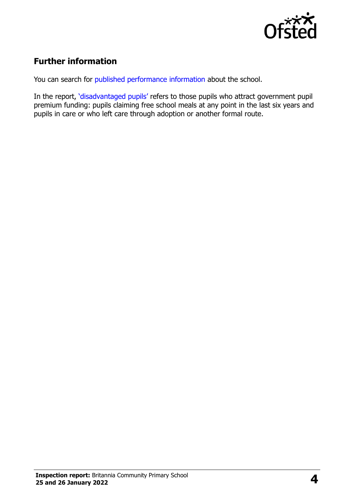

# **Further information**

You can search for [published performance information](http://www.compare-school-performance.service.gov.uk/) about the school.

In the report, '[disadvantaged pupils](http://www.gov.uk/guidance/pupil-premium-information-for-schools-and-alternative-provision-settings)' refers to those pupils who attract government pupil premium funding: pupils claiming free school meals at any point in the last six years and pupils in care or who left care through adoption or another formal route.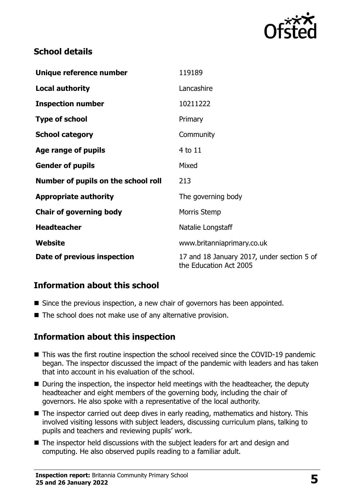

#### **School details**

| Unique reference number             | 119189                                                               |
|-------------------------------------|----------------------------------------------------------------------|
| <b>Local authority</b>              | Lancashire                                                           |
| <b>Inspection number</b>            | 10211222                                                             |
| <b>Type of school</b>               | Primary                                                              |
| <b>School category</b>              | Community                                                            |
| Age range of pupils                 | 4 to 11                                                              |
| <b>Gender of pupils</b>             | Mixed                                                                |
| Number of pupils on the school roll | 213                                                                  |
| <b>Appropriate authority</b>        | The governing body                                                   |
| <b>Chair of governing body</b>      | Morris Stemp                                                         |
| <b>Headteacher</b>                  | Natalie Longstaff                                                    |
| <b>Website</b>                      | www.britanniaprimary.co.uk                                           |
| Date of previous inspection         | 17 and 18 January 2017, under section 5 of<br>the Education Act 2005 |

# **Information about this school**

- Since the previous inspection, a new chair of governors has been appointed.
- The school does not make use of any alternative provision.

#### **Information about this inspection**

- This was the first routine inspection the school received since the COVID-19 pandemic began. The inspector discussed the impact of the pandemic with leaders and has taken that into account in his evaluation of the school.
- During the inspection, the inspector held meetings with the headteacher, the deputy headteacher and eight members of the governing body, including the chair of governors. He also spoke with a representative of the local authority.
- The inspector carried out deep dives in early reading, mathematics and history. This involved visiting lessons with subject leaders, discussing curriculum plans, talking to pupils and teachers and reviewing pupils' work.
- The inspector held discussions with the subject leaders for art and design and computing. He also observed pupils reading to a familiar adult.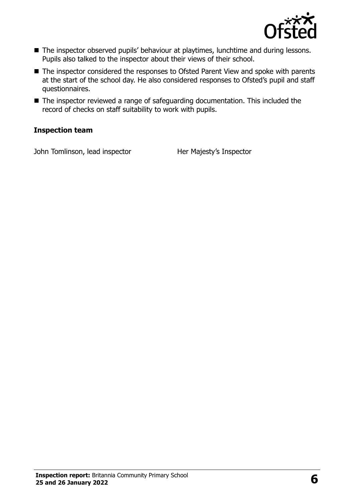

- The inspector observed pupils' behaviour at playtimes, lunchtime and during lessons. Pupils also talked to the inspector about their views of their school.
- The inspector considered the responses to Ofsted Parent View and spoke with parents at the start of the school day. He also considered responses to Ofsted's pupil and staff questionnaires.
- The inspector reviewed a range of safeguarding documentation. This included the record of checks on staff suitability to work with pupils.

#### **Inspection team**

John Tomlinson, lead inspector Her Majesty's Inspector